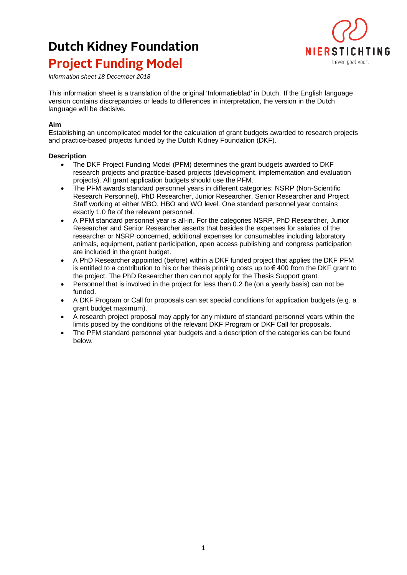## **Dutch Kidney Foundation Project Funding Model**



*Information sheet 18 December 2018*

This information sheet is a translation of the original 'Informatieblad' in Dutch. If the English language version contains discrepancies or leads to differences in interpretation, the version in the Dutch language will be decisive.

## **Aim**

Establishing an uncomplicated model for the calculation of grant budgets awarded to research projects and practice-based projects funded by the Dutch Kidney Foundation (DKF).

## **Description**

- The DKF Project Funding Model (PFM) determines the grant budgets awarded to DKF research projects and practice-based projects (development, implementation and evaluation projects). All grant application budgets should use the PFM.
- The PFM awards standard personnel years in different categories: NSRP (Non-Scientific Research Personnel), PhD Researcher, Junior Researcher, Senior Researcher and Project Staff working at either MBO, HBO and WO level. One standard personnel year contains exactly 1.0 fte of the relevant personnel.
- A PFM standard personnel year is all-in. For the categories NSRP, PhD Researcher, Junior Researcher and Senior Researcher asserts that besides the expenses for salaries of the researcher or NSRP concerned, additional expenses for consumables including laboratory animals, equipment, patient participation, open access publishing and congress participation are included in the grant budget.
- A PhD Researcher appointed (before) within a DKF funded project that applies the DKF PFM is entitled to a contribution to his or her thesis printing costs up to  $\epsilon$  400 from the DKF grant to the project. The PhD Researcher then can not apply for the Thesis Support grant.
- Personnel that is involved in the project for less than 0.2 fte (on a yearly basis) can not be funded.
- A DKF Program or Call for proposals can set special conditions for application budgets (e.g. a grant budget maximum).
- A research project proposal may apply for any mixture of standard personnel years within the limits posed by the conditions of the relevant DKF Program or DKF Call for proposals.
- The PFM standard personnel year budgets and a description of the categories can be found below.